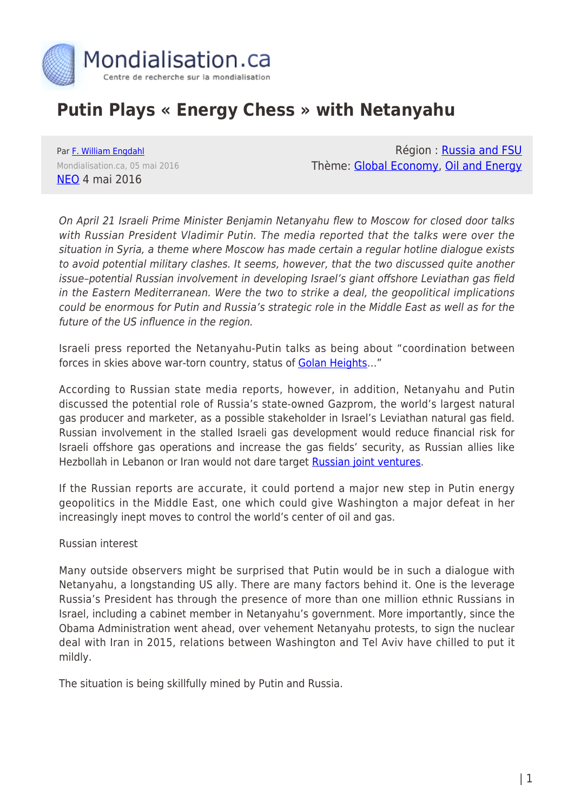

# **Putin Plays « Energy Chess » with Netanyahu**

Par [F. William Engdahl](https://www.mondialisation.ca/author/f-william-engdahl) Mondialisation.ca, 05 mai 2016 [NEO](http://journal-neo.org/2016/05/04/putin-plays-energy-chess-with-netanyahu/) 4 mai 2016

Région : [Russia and FSU](https://www.mondialisation.ca/region/russia-and-fsu) Thème: [Global Economy](https://www.mondialisation.ca/theme/global-economy), [Oil and Energy](https://www.mondialisation.ca/theme/oil-and-energy)

On April 21 Israeli Prime Minister Benjamin Netanyahu flew to Moscow for closed door talks with Russian President Vladimir Putin. The media reported that the talks were over the situation in Syria, a theme where Moscow has made certain a regular hotline dialogue exists to avoid potential military clashes. It seems, however, that the two discussed quite another issue–potential Russian involvement in developing Israel's giant offshore Leviathan gas field in the Eastern Mediterranean. Were the two to strike a deal, the geopolitical implications could be enormous for Putin and Russia's strategic role in the Middle East as well as for the future of the US influence in the region.

Israeli press reported the Netanyahu-Putin talks as being about "coordination between forces in skies above war-torn country, status of Golan Heights..."

According to Russian state media reports, however, in addition, Netanyahu and Putin discussed the potential role of Russia's state-owned Gazprom, the world's largest natural gas producer and marketer, as a possible stakeholder in Israel's Leviathan natural gas field. Russian involvement in the stalled Israeli gas development would reduce financial risk for Israeli offshore gas operations and increase the gas fields' security, as Russian allies like Hezbollah in Lebanon or Iran would not dare target [Russian joint ventures](http://journal-neo.org/2016/05/04/putin-plays-energy-chess-with-netanyahu/%20http://www.naturalgaseurope.com/report-putin-and-netanyahu-in-gas-talks-29203).

If the Russian reports are accurate, it could portend a major new step in Putin energy geopolitics in the Middle East, one which could give Washington a major defeat in her increasingly inept moves to control the world's center of oil and gas.

Russian interest

Many outside observers might be surprised that Putin would be in such a dialogue with Netanyahu, a longstanding US ally. There are many factors behind it. One is the leverage Russia's President has through the presence of more than one million ethnic Russians in Israel, including a cabinet member in Netanyahu's government. More importantly, since the Obama Administration went ahead, over vehement Netanyahu protests, to sign the nuclear deal with Iran in 2015, relations between Washington and Tel Aviv have chilled to put it mildly.

The situation is being skillfully mined by Putin and Russia.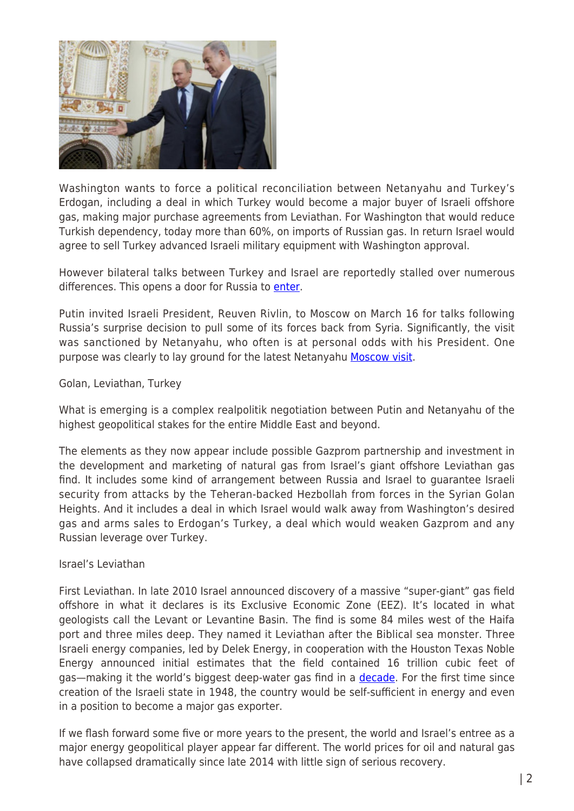

Washington wants to force a political reconciliation between Netanyahu and Turkey's Erdogan, including a deal in which Turkey would become a major buyer of Israeli offshore gas, making major purchase agreements from Leviathan. For Washington that would reduce Turkish dependency, today more than 60%, on imports of Russian gas. In return Israel would agree to sell Turkey advanced Israeli military equipment with Washington approval.

However bilateral talks between Turkey and Israel are reportedly stalled over numerous differences. This opens a door for Russia to [enter](http://www.naturalgaseurope.com/russian-gas-interests-to-dictate-israel-tukey-gas-deals-28675).

Putin invited Israeli President, Reuven Rivlin, to Moscow on March 16 for talks following Russia's surprise decision to pull some of its forces back from Syria. Significantly, the visit was sanctioned by Netanyahu, who often is at personal odds with his President. One purpose was clearly to lay ground for the latest Netanyahu [Moscow visit.](http://www.timesofisrael.com/moscow-wants-more-trade-with-israel-russian-pm-tells-rivlin/?utm_source=The+Times+of+Israel+Daily+Edition&utm_campaign=c759280ba7-2016_03_18&utm_medium=email&utm_term=0_adb46cec92-c759280ba7-55093541)

### Golan, Leviathan, Turkey

What is emerging is a complex realpolitik negotiation between Putin and Netanyahu of the highest geopolitical stakes for the entire Middle East and beyond.

The elements as they now appear include possible Gazprom partnership and investment in the development and marketing of natural gas from Israel's giant offshore Leviathan gas find. It includes some kind of arrangement between Russia and Israel to guarantee Israeli security from attacks by the Teheran-backed Hezbollah from forces in the Syrian Golan Heights. And it includes a deal in which Israel would walk away from Washington's desired gas and arms sales to Erdogan's Turkey, a deal which would weaken Gazprom and any Russian leverage over Turkey.

### Israel's Leviathan

First Leviathan. In late 2010 Israel announced discovery of a massive "super-giant" gas field offshore in what it declares is its Exclusive Economic Zone (EEZ). It's located in what geologists call the Levant or Levantine Basin. The find is some 84 miles west of the Haifa port and three miles deep. They named it Leviathan after the Biblical sea monster. Three Israeli energy companies, led by Delek Energy, in cooperation with the Houston Texas Noble Energy announced initial estimates that the field contained 16 trillion cubic feet of gas—making it the world's biggest deep-water gas find in a [decade.](http://www.voltairenet.org/article172827.html) For the first time since creation of the Israeli state in 1948, the country would be self-sufficient in energy and even in a position to become a major gas exporter.

If we flash forward some five or more years to the present, the world and Israel's entree as a major energy geopolitical player appear far different. The world prices for oil and natural gas have collapsed dramatically since late 2014 with little sign of serious recovery.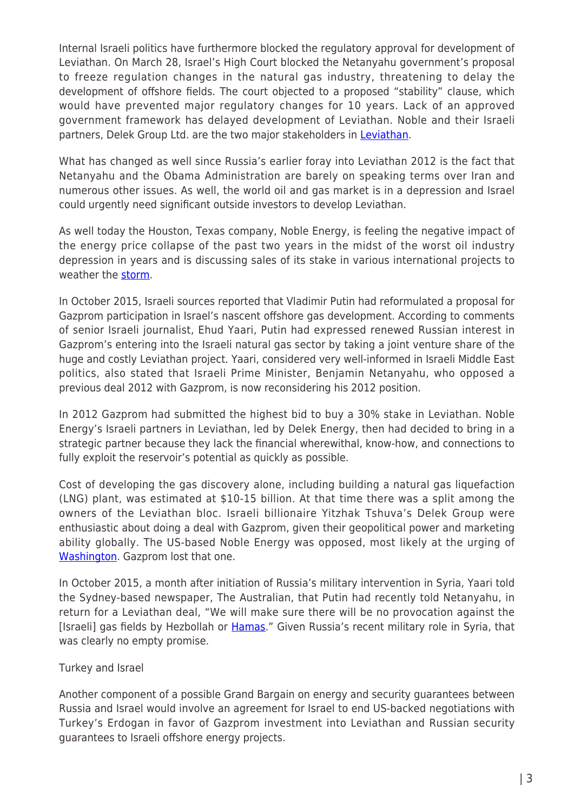Internal Israeli politics have furthermore blocked the regulatory approval for development of Leviathan. On March 28, Israel's High Court blocked the Netanyahu government's proposal to freeze regulation changes in the natural gas industry, threatening to delay the development of offshore fields. The court objected to a proposed "stability" clause, which would have prevented major regulatory changes for 10 years. Lack of an approved government framework has delayed development of Leviathan. Noble and their Israeli partners, Delek Group Ltd. are the two major stakeholders in [Leviathan.](http://www.bloomberg.com/news/articles/2016-03-28/noble-slides-most-in-7-weeks-after-israel-natural-gas-ruling)

What has changed as well since Russia's earlier foray into Leviathan 2012 is the fact that Netanyahu and the Obama Administration are barely on speaking terms over Iran and numerous other issues. As well, the world oil and gas market is in a depression and Israel could urgently need significant outside investors to develop Leviathan.

As well today the Houston, Texas company, Noble Energy, is feeling the negative impact of the energy price collapse of the past two years in the midst of the worst oil industry depression in years and is discussing sales of its stake in various international projects to weather the [storm](http://www.bloomberg.com/news/articles/2016-03-28/noble-slides-most-in-7-weeks-after-israel-natural-gas-ruling).

In October 2015, Israeli sources reported that Vladimir Putin had reformulated a proposal for Gazprom participation in Israel's nascent offshore gas development. According to comments of senior Israeli journalist, Ehud Yaari, Putin had expressed renewed Russian interest in Gazprom's entering into the Israeli natural gas sector by taking a joint venture share of the huge and costly Leviathan project. Yaari, considered very well-informed in Israeli Middle East politics, also stated that Israeli Prime Minister, Benjamin Netanyahu, who opposed a previous deal 2012 with Gazprom, is now reconsidering his 2012 position.

In 2012 Gazprom had submitted the highest bid to buy a 30% stake in Leviathan. Noble Energy's Israeli partners in Leviathan, led by Delek Energy, then had decided to bring in a strategic partner because they lack the financial wherewithal, know-how, and connections to fully exploit the reservoir's potential as quickly as possible.

Cost of developing the gas discovery alone, including building a natural gas liquefaction (LNG) plant, was estimated at \$10-15 billion. At that time there was a split among the owners of the Leviathan bloc. Israeli billionaire Yitzhak Tshuva's Delek Group were enthusiastic about doing a deal with Gazprom, given their geopolitical power and marketing ability globally. The US-based Noble Energy was opposed, most likely at the urging of [Washington](http://www.globes.co.il/en/article-1000790600). Gazprom lost that one.

In October 2015, a month after initiation of Russia's military intervention in Syria, Yaari told the Sydney-based newspaper, The Australian, that Putin had recently told Netanyahu, in return for a Leviathan deal, "We will make sure there will be no provocation against the [Israeli] gas fields by Hezbollah or **Hamas**." Given Russia's recent military role in Syria, that was clearly no empty promise.

# Turkey and Israel

Another component of a possible Grand Bargain on energy and security guarantees between Russia and Israel would involve an agreement for Israel to end US-backed negotiations with Turkey's Erdogan in favor of Gazprom investment into Leviathan and Russian security guarantees to Israeli offshore energy projects.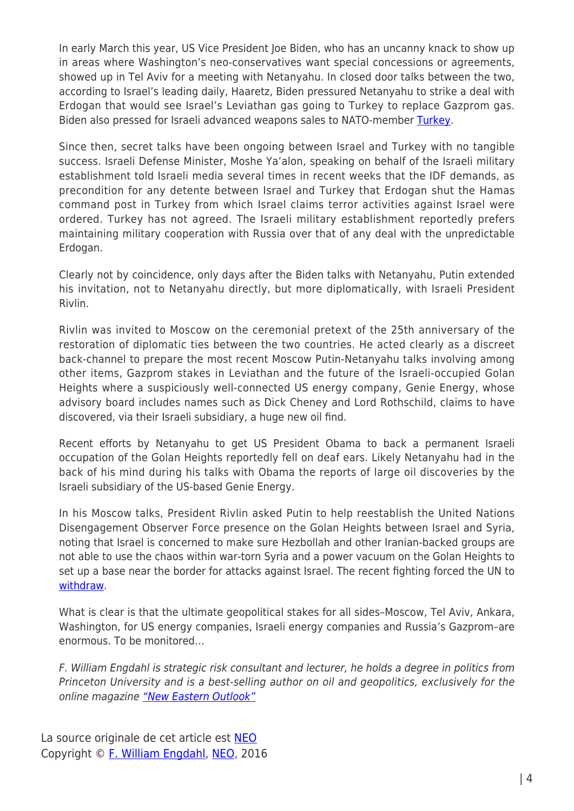In early March this year, US Vice President Joe Biden, who has an uncanny knack to show up in areas where Washington's neo-conservatives want special concessions or agreements, showed up in Tel Aviv for a meeting with Netanyahu. In closed door talks between the two, according to Israel's leading daily, Haaretz, Biden pressured Netanyahu to strike a deal with Erdogan that would see Israel's Leviathan gas going to Turkey to replace Gazprom gas. Biden also pressed for Israeli advanced weapons sales to NATO-member [Turkey](http://www.naturalgaseurope.com/noble-ceo-met-netanyahu-before-high-court-of-justice-to-release-its-decision-on-the-natural-gas-framework-28643).

Since then, secret talks have been ongoing between Israel and Turkey with no tangible success. Israeli Defense Minister, Moshe Ya'alon, speaking on behalf of the Israeli military establishment told Israeli media several times in recent weeks that the IDF demands, as precondition for any detente between Israel and Turkey that Erdogan shut the Hamas command post in Turkey from which Israel claims terror activities against Israel were ordered. Turkey has not agreed. The Israeli military establishment reportedly prefers maintaining military cooperation with Russia over that of any deal with the unpredictable Erdogan.

Clearly not by coincidence, only days after the Biden talks with Netanyahu, Putin extended his invitation, not to Netanyahu directly, but more diplomatically, with Israeli President Rivlin.

Rivlin was invited to Moscow on the ceremonial pretext of the 25th anniversary of the restoration of diplomatic ties between the two countries. He acted clearly as a discreet back-channel to prepare the most recent Moscow Putin-Netanyahu talks involving among other items, Gazprom stakes in Leviathan and the future of the Israeli-occupied Golan Heights where a suspiciously well-connected US energy company, Genie Energy, whose advisory board includes names such as Dick Cheney and Lord Rothschild, claims to have discovered, via their Israeli subsidiary, a huge new oil find.

Recent efforts by Netanyahu to get US President Obama to back a permanent Israeli occupation of the Golan Heights reportedly fell on deaf ears. Likely Netanyahu had in the back of his mind during his talks with Obama the reports of large oil discoveries by the Israeli subsidiary of the US-based Genie Energy.

In his Moscow talks, President Rivlin asked Putin to help reestablish the United Nations Disengagement Observer Force presence on the Golan Heights between Israel and Syria, noting that Israel is concerned to make sure Hezbollah and other Iranian-backed groups are not able to use the chaos within war-torn Syria and a power vacuum on the Golan Heights to set up a base near the border for attacks against Israel. The recent fighting forced the UN to [withdraw.](http://journal-neo.org/2016/05/04/putin-plays-energy-chess-with-netanyahu/%20http://www.timesofisrael.com/israel-wont-allow-iran-hezbollah-on-syrian-border-rivlin-tells-putin/?utm_source=The+Times+of+Israel+Daily+Edition&utm_campaign=de4239d0eb-2016_03_17&utm_medium=email&utm_term=0_adb46cec92-de4239d0eb-55093541)

What is clear is that the ultimate geopolitical stakes for all sides–Moscow, Tel Aviv, Ankara, Washington, for US energy companies, Israeli energy companies and Russia's Gazprom–are enormous. To be monitored…

F. William Engdahl is strategic risk consultant and lecturer, he holds a degree in politics from Princeton University and is a best-selling author on oil and geopolitics, exclusively for the online magazine ["New Eastern Outlook"](http://journal-neo.org/)

La source originale de cet article est **[NEO](http://journal-neo.org/2016/05/04/putin-plays-energy-chess-with-netanyahu/)** Copyright © [F. William Engdahl](https://www.mondialisation.ca/author/f-william-engdahl), [NEO](http://journal-neo.org/2016/05/04/putin-plays-energy-chess-with-netanyahu/), 2016